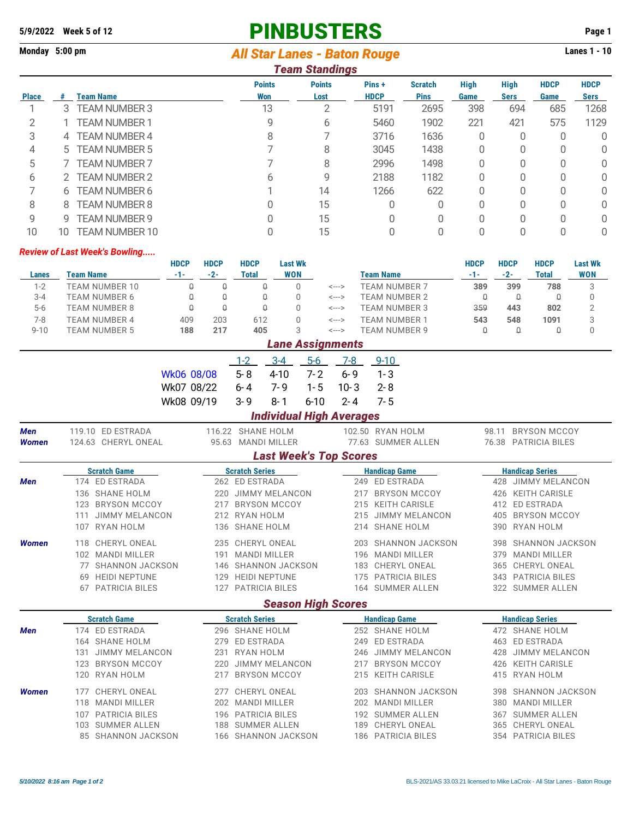# **5/9/2022 Week 5 of 12 PINBUSTERS Page 1**

## **Monday 5:00 pm** Lanes 1 - 10

|              |                       |                                      |             |             |                               |            | <b>Team Standings</b>      |                      |                               |                     |                            |                     |                            |
|--------------|-----------------------|--------------------------------------|-------------|-------------|-------------------------------|------------|----------------------------|----------------------|-------------------------------|---------------------|----------------------------|---------------------|----------------------------|
| <b>Place</b> | <b>Team Name</b><br># |                                      |             |             | <b>Points</b><br><b>Won</b>   |            | <b>Points</b><br>Lost      | Pins+<br><b>HDCP</b> | <b>Scratch</b><br><b>Pins</b> | <b>High</b><br>Game | <b>High</b><br><b>Sers</b> | <b>HDCP</b><br>Game | <b>HDCP</b><br><b>Sers</b> |
|              | 3                     | <b>TEAM NUMBER 3</b>                 |             |             | 13                            |            | $\overline{2}$             | 5191<br>2695         |                               | 398                 | 694                        | 685                 | 1268                       |
| 2            |                       | TEAM NUMBER 1                        |             |             | 9                             |            | 6                          | 5460                 | 1902                          | 221                 | 421                        | 575                 | 1129                       |
| 3            | 4                     | <b>TEAM NUMBER 4</b>                 |             |             | 8                             |            |                            | 3716                 | 1636                          | 0                   | 0                          | 0                   | 0                          |
| 4            | 5                     | <b>TEAM NUMBER 5</b>                 |             |             | 7                             |            | 8                          | 3045                 | 1438                          | 0                   | 0                          | 0                   | 0                          |
| 5            |                       | <b>TEAM NUMBER 7</b>                 |             |             | 7                             |            | 8                          | 2996                 | 1498                          | 0                   | 0                          | $\Omega$            | 0                          |
| 6            | 2                     | <b>TEAM NUMBER 2</b>                 |             |             | 6                             |            | 9                          | 2188                 | 1182                          | 0                   | 0                          | 0                   | 0                          |
| 7            | 6                     | <b>TEAM NUMBER 6</b>                 |             |             |                               |            | 14                         | 1266                 | 622                           | 0                   | 0                          | 0                   | 0                          |
| 8            | 8                     | <b>TEAM NUMBER 8</b>                 |             |             | $\Omega$                      |            | 15                         | 0                    | 0                             | 0                   | 0                          | $\Omega$            | 0                          |
| 9            | 9                     | <b>TEAM NUMBER 9</b>                 |             |             | $\Omega$                      |            | 15                         | 0                    | 0                             | 0                   | 0                          | 0                   | 0                          |
| 10           | 10                    | <b>TEAM NUMBER 10</b>                |             |             | $\Omega$                      |            | 15                         | 0                    | 0                             | 0                   | 0                          | $\mathbf 0$         | 0                          |
|              |                       | <b>Review of Last Week's Bowling</b> |             |             |                               |            |                            |                      |                               |                     |                            |                     |                            |
|              |                       |                                      | <b>HDCP</b> | <b>HDCP</b> | <b>HDCP</b><br><b>Last Wk</b> |            |                            |                      |                               | <b>HDCP</b>         | <b>HDCP</b>                | <b>HDCP</b>         | <b>Last Wk</b>             |
| <b>Lanes</b> |                       | <b>Team Name</b>                     | $-1-$       | $-2-$       | <b>Total</b>                  | <b>WON</b> |                            | <b>Team Name</b>     |                               | $-1-$               | $-2-$                      | <b>Total</b>        | <b>WON</b>                 |
| $1 - 2$      |                       | <b>TEAM NUMBER 10</b>                | Q           | Q           | $\theta$                      | $\Omega$   | $\leftarrow$ $\rightarrow$ | <b>TEAM NUMBER 7</b> |                               | 389                 | 399                        | 788                 | 3                          |
| $3 - 4$      |                       | <b>TEAM NUMBER 6</b>                 | Û           | $\theta$    | $\theta$                      | 0          | <--->                      | <b>TEAM NUMBER 2</b> |                               | Q                   | $\theta$                   | $\theta$            | 0                          |
| $5-6$        |                       | <b>TEAM NUMBER 8</b>                 | $\Omega$    | $\theta$    | $\theta$                      | $\Omega$   | <--->                      | <b>TEAM NUMBER 3</b> |                               | 359<br>443          |                            | 802                 | $\overline{2}$             |
| $7 - 8$      |                       | <b>TEAM NUMBER 4</b>                 | 409         | 203         | 612                           | $\Omega$   | <--->                      | <b>TEAM NUMBER 1</b> |                               | 543                 | 548                        | 1091                | 3                          |
| $9 - 10$     |                       | <b>TEAM NUMBER 5</b>                 | 188         | 217         | 405                           | 3          | $\leftarrow$ --->          | <b>TEAM NUMBER 9</b> |                               | 0                   | $\theta$                   | Q                   | $\mathbf 0$                |
|              |                       |                                      |             |             |                               |            | <b>Lane Assignments</b>    |                      |                               |                     |                            |                     |                            |
|              |                       |                                      |             |             | $1 - 2$                       | $3-4$      | $5-6$<br>$7-8$             | $9 - 10$             |                               |                     |                            |                     |                            |

|                     |                                       | <b>HDCP</b>                  | <b>HDCP</b> | <b>HDCP</b>                             | <b>Last Wk</b><br><b>WON</b> |          |                                 |                                        | <b>HDCP</b>  | <b>HDCP</b>                             | <b>HDCP</b>            | <b>Last Wk</b> |  |  |
|---------------------|---------------------------------------|------------------------------|-------------|-----------------------------------------|------------------------------|----------|---------------------------------|----------------------------------------|--------------|-----------------------------------------|------------------------|----------------|--|--|
| <b>Lanes</b>        | <b>Team Name</b>                      | $-1-$                        | $-2-$       | <b>Total</b>                            |                              |          |                                 | <b>Team Name</b>                       | $-1-$        | $-2-$                                   | <b>Total</b>           | <b>WON</b>     |  |  |
| $1 - 2$             | <b>TEAM NUMBER 10</b>                 | $\mathbb Q$                  | $\theta$    | 0                                       | 0                            |          | <--->                           | <b>TEAM NUMBER 7</b>                   | 389          | 399                                     | 788                    | 3              |  |  |
| $3 - 4$             | <b>TEAM NUMBER 6</b>                  | $\theta$                     | $\theta$    | $\mathbb Q$                             | 0                            |          | $\leftarrow$ --->               | <b>TEAM NUMBER 2</b>                   | $\mathsf{Q}$ | $\mathbb Q$                             | $\mathbb Q$            | $\mathbf 0$    |  |  |
| $5 - 6$             | <b>TEAM NUMBER 8</b>                  | $\Omega$                     | $\theta$    | $\theta$                                | 0                            |          | <--->                           | <b>TEAM NUMBER 3</b>                   | 359          | 443                                     | 802                    | $\overline{2}$ |  |  |
| $7 - 8$             | <b>TEAM NUMBER 4</b>                  | 409                          | 203         | 612                                     | $\Omega$                     |          | <--->                           | <b>TEAM NUMBER 1</b>                   | 543          | 548                                     | 1091                   | 3              |  |  |
| $9 - 10$            | <b>TEAM NUMBER 5</b>                  | 188                          | 217         | 405                                     | 3                            |          | <--->                           | <b>TEAM NUMBER 9</b>                   | $\theta$     | Q                                       | $\theta$               | $\mathbf{0}$   |  |  |
|                     |                                       |                              |             |                                         |                              |          | <b>Lane Assignments</b>         |                                        |              |                                         |                        |                |  |  |
|                     |                                       |                              |             | $1-2$                                   | $3 - 4$                      | $5-6$    | $7 - 8$                         | $9 - 10$                               |              |                                         |                        |                |  |  |
|                     |                                       | Wk06 08/08                   |             | $5 - 8$                                 | $4 - 10$                     | $7 - 2$  | $6 - 9$                         | $1 - 3$                                |              |                                         |                        |                |  |  |
|                     |                                       | Wk07 08/22                   |             | $6 - 4$                                 | $7 - 9$                      | $1 - 5$  | $10 - 3$                        | $2 - 8$                                |              |                                         |                        |                |  |  |
|                     |                                       | Wk08 09/19                   |             | $3 - 9$                                 | $8 - 1$                      | $6 - 10$ | $2 - 4$                         | $7 - 5$                                |              |                                         |                        |                |  |  |
|                     |                                       |                              |             |                                         |                              |          | <b>Individual High Averages</b> |                                        |              |                                         |                        |                |  |  |
|                     | 119.10 ED ESTRADA                     |                              |             |                                         |                              |          |                                 |                                        |              |                                         | <b>BRYSON MCCOY</b>    |                |  |  |
| Men<br><b>Women</b> | 124.63 CHERYL ONEAL                   |                              |             | 116.22 SHANE HOLM<br>95.63 MANDI MILLER |                              |          |                                 | 102.50 RYAN HOLM<br>77.63 SUMMER ALLEN |              | 98.11                                   | 76.38 PATRICIA BILES   |                |  |  |
|                     |                                       |                              |             |                                         |                              |          |                                 |                                        |              |                                         |                        |                |  |  |
|                     |                                       |                              |             |                                         |                              |          | <b>Last Week's Top Scores</b>   |                                        |              |                                         |                        |                |  |  |
|                     | <b>Scratch Game</b>                   |                              |             | <b>Scratch Series</b>                   |                              |          |                                 | <b>Handicap Game</b>                   |              |                                         | <b>Handicap Series</b> |                |  |  |
| Men                 | 174 ED ESTRADA                        |                              |             | 262 ED ESTRADA<br>220 JIMMY MELANCON    |                              |          |                                 | 249 ED ESTRADA                         |              | 428 JIMMY MELANCON<br>426 KEITH CARISLE |                        |                |  |  |
|                     | 136 SHANE HOLM<br><b>BRYSON MCCOY</b> |                              |             | <b>BRYSON MCCOY</b>                     |                              |          | 217                             | <b>BRYSON MCCOY</b>                    |              |                                         |                        |                |  |  |
|                     | 123<br><b>JIMMY MELANCON</b><br>111   |                              | 217         | 212 RYAN HOLM                           |                              |          | 215<br>215                      | KEITH CARISLE<br><b>JIMMY MELANCON</b> |              | 405                                     | 412 ED ESTRADA         |                |  |  |
|                     | 107 RYAN HOLM                         |                              |             | 136 SHANE HOLM                          |                              |          |                                 | 214 SHANE HOLM                         |              | <b>BRYSON MCCOY</b><br>390 RYAN HOLM    |                        |                |  |  |
|                     |                                       |                              |             |                                         |                              |          |                                 |                                        |              |                                         |                        |                |  |  |
| <b>Women</b>        | CHERYL ONEAL<br>118                   |                              |             | 235 CHERYL ONEAL                        |                              |          | 203                             | <b>SHANNON JACKSON</b>                 |              | 398                                     | SHANNON JACKSON        |                |  |  |
|                     | 102 MANDI MILLER                      |                              | 191         | <b>MANDI MILLER</b>                     |                              |          |                                 | 196 MANDI MILLER                       |              | 379                                     | <b>MANDI MILLER</b>    |                |  |  |
|                     | 77 SHANNON JACKSON                    |                              |             | 146 SHANNON JACKSON                     |                              |          |                                 | 183 CHERYL ONEAL                       |              |                                         | 365 CHERYL ONEAL       |                |  |  |
|                     | 69 HEIDI NEPTUNE                      |                              | 129         | <b>HEIDI NEPTUNE</b>                    |                              |          |                                 | 175 PATRICIA BILES                     |              | 343 PATRICIA BILES                      |                        |                |  |  |
|                     | 67 PATRICIA BILES                     |                              |             |                                         | 127 PATRICIA BILES           |          |                                 | 164 SUMMER ALLEN                       |              | 322 SUMMER ALLEN                        |                        |                |  |  |
|                     |                                       |                              |             |                                         |                              |          | <b>Season High Scores</b>       |                                        |              |                                         |                        |                |  |  |
|                     | <b>Scratch Game</b>                   |                              |             | <b>Scratch Series</b>                   |                              |          |                                 | <b>Handicap Game</b>                   |              |                                         | <b>Handicap Series</b> |                |  |  |
| Men                 | 174 ED ESTRADA                        |                              |             | 296 SHANE HOLM                          |                              |          |                                 | 252 SHANE HOLM                         |              |                                         | 472 SHANE HOLM         |                |  |  |
|                     | 164 SHANE HOLM                        |                              | 279         | ED ESTRADA                              |                              |          | 249                             | ED ESTRADA                             |              |                                         | 463 ED ESTRADA         |                |  |  |
|                     |                                       | <b>JIMMY MELANCON</b><br>131 |             |                                         | 231 RYAN HOLM                |          |                                 | JIMMY MELANCON<br>246                  |              | JIMMY MELANCON<br>428                   |                        |                |  |  |
|                     | 123 BRYSON MCCOY<br>220<br>217        |                              |             | <b>JIMMY MELANCON</b>                   |                              |          | 217                             | <b>BRYSON MCCOY</b>                    |              | <b>KEITH CARISLE</b><br>426             |                        |                |  |  |
|                     |                                       | 120 RYAN HOLM                |             | <b>BRYSON MCCOY</b>                     |                              |          |                                 | <b>KEITH CARISLE</b><br>215            |              |                                         | 415 RYAN HOLM          |                |  |  |
| <b>Women</b>        | CHERYL ONEAL<br>177                   |                              | 277         | CHERYL ONEAL                            |                              |          | 203                             | SHANNON JACKSON                        |              | 398                                     | SHANNON JACKSON        |                |  |  |
|                     |                                       | 118 MANDI MILLER             |             |                                         | 202 MANDI MILLER             |          |                                 | 202 MANDI MILLER                       |              | <b>MANDI MILLER</b><br>380              |                        |                |  |  |
|                     | 107 PATRICIA BILES                    |                              |             | 196 PATRICIA BILES                      |                              |          |                                 | 192 SUMMER ALLEN                       |              | 367                                     | <b>SUMMER ALLEN</b>    |                |  |  |
|                     | 103 SUMMER ALLEN                      |                              | 188         | <b>SUMMER ALLEN</b>                     |                              |          | 189                             | CHERYL ONEAL                           |              | 365                                     | CHERYL ONEAL           |                |  |  |
|                     | 85 SHANNON JACKSON                    |                              |             |                                         | 166 SHANNON JACKSON          |          |                                 | 186 PATRICIA BILES                     |              | 354 PATRICIA BILES                      |                        |                |  |  |